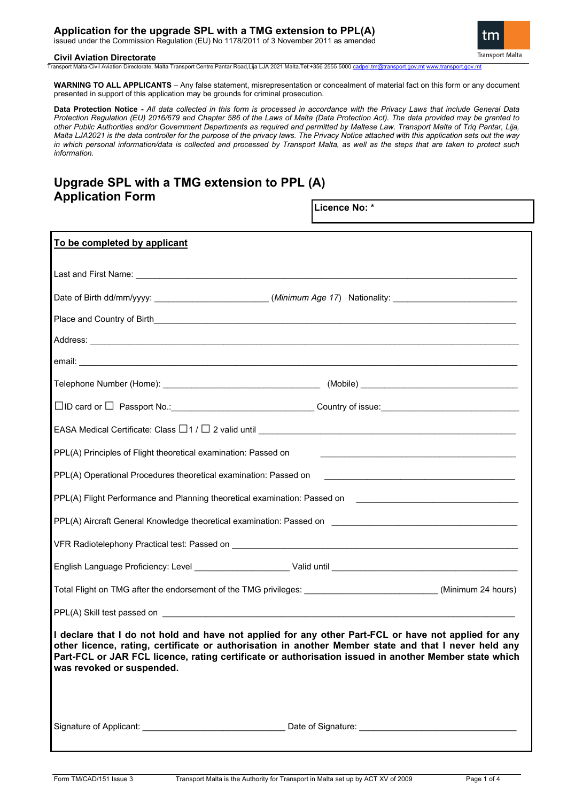issued under the Commission Regulation (EU) No 1178/2011 of 3 November 2011 as amended



1

#### **Civil Aviation Directorate**

Transport Malta-Civil Aviation Directorate, Malta Transport Centre,Pantar Road,Lija LJA 2021 Malta.Tel:+356 2555 5000 [cadpel.tm@transport.gov.mt](mailto:cadpel.tm@transport.gov.mt) w

**WARNING TO ALL APPLICANTS** – Any false statement, misrepresentation or concealment of material fact on this form or any document presented in support of this application may be grounds for criminal prosecution.

**Data Protection Notice -** *All data collected in this form is processed in accordance with the Privacy Laws that include General Data Protection Regulation (EU) 2016/679 and Chapter 586 of the Laws of Malta (Data Protection Act). The data provided may be granted to other Public Authorities and/or Government Departments as required and permitted by Maltese Law. Transport Malta of Triq Pantar, Lija, Malta LJA2021 is the data controller for the purpose of the privacy laws. The Privacy Notice attached with this application sets out the way in which personal information/data is collected and processed by Transport Malta, as well as the steps that are taken to protect such information.*

# **Upgrade SPL with a TMG extension to PPL (A) Application Form**

|                                                                                                                                                                                                                                                                                                                                                     | Licence No: *      |  |
|-----------------------------------------------------------------------------------------------------------------------------------------------------------------------------------------------------------------------------------------------------------------------------------------------------------------------------------------------------|--------------------|--|
| To be completed by applicant                                                                                                                                                                                                                                                                                                                        |                    |  |
|                                                                                                                                                                                                                                                                                                                                                     |                    |  |
| Date of Birth dd/mm/yyyy: ________________________(Minimum Age 17) Nationality: __________________________                                                                                                                                                                                                                                          |                    |  |
|                                                                                                                                                                                                                                                                                                                                                     |                    |  |
|                                                                                                                                                                                                                                                                                                                                                     |                    |  |
|                                                                                                                                                                                                                                                                                                                                                     |                    |  |
|                                                                                                                                                                                                                                                                                                                                                     |                    |  |
| □ID card or □ Passport No.:__________________________________Country of issue:___________________________                                                                                                                                                                                                                                           |                    |  |
|                                                                                                                                                                                                                                                                                                                                                     |                    |  |
| PPL(A) Principles of Flight theoretical examination: Passed on                                                                                                                                                                                                                                                                                      |                    |  |
| PPL(A) Operational Procedures theoretical examination: Passed on                                                                                                                                                                                                                                                                                    |                    |  |
| PPL(A) Flight Performance and Planning theoretical examination: Passed on Delta Design and Design Design Design                                                                                                                                                                                                                                     |                    |  |
| PPL(A) Aircraft General Knowledge theoretical examination: Passed on _______________________________                                                                                                                                                                                                                                                |                    |  |
|                                                                                                                                                                                                                                                                                                                                                     |                    |  |
|                                                                                                                                                                                                                                                                                                                                                     |                    |  |
| Total Flight on TMG after the endorsement of the TMG privileges: ____________________________(Minimum 24 hours)                                                                                                                                                                                                                                     |                    |  |
|                                                                                                                                                                                                                                                                                                                                                     |                    |  |
| I declare that I do not hold and have not applied for any other Part-FCL or have not applied for any<br>other licence, rating, certificate or authorisation in another Member state and that I never held any<br>Part-FCL or JAR FCL licence, rating certificate or authorisation issued in another Member state which<br>was revoked or suspended. |                    |  |
| Signature of Applicant:                                                                                                                                                                                                                                                                                                                             | Date of Signature: |  |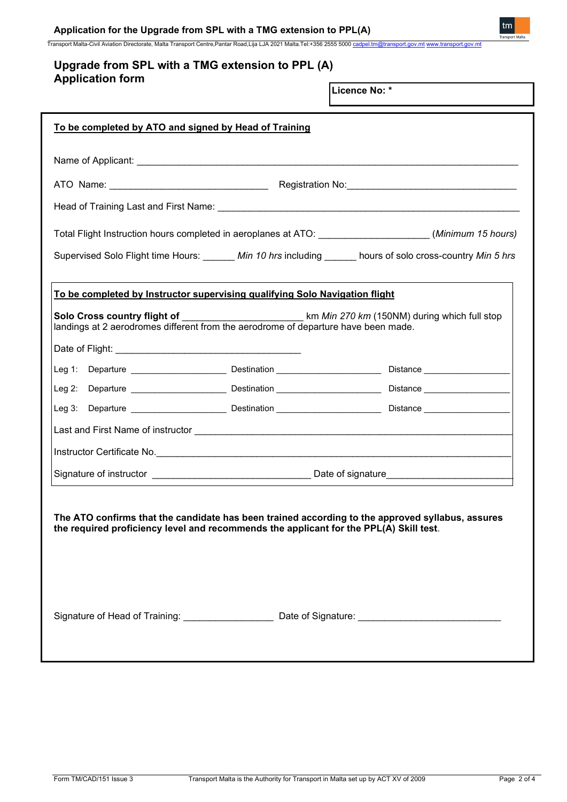# **Application for the Upgrade from SPL with a TMG extension to PPL(A)**

Transport Malta-Civil Aviation Directorate, Malta Transport Centre,Pantar Road,Lija LJA 2021 Malta.Tel:+356 2555 5000 cadpel.tm

# **Upgrade from SPL with a TMG extension to PPL (A) Application form**

**Licence No: \***

| To be completed by ATO and signed by Head of Training                                                                                                                                         |                                                                                                               |  |  |  |
|-----------------------------------------------------------------------------------------------------------------------------------------------------------------------------------------------|---------------------------------------------------------------------------------------------------------------|--|--|--|
|                                                                                                                                                                                               |                                                                                                               |  |  |  |
|                                                                                                                                                                                               |                                                                                                               |  |  |  |
|                                                                                                                                                                                               |                                                                                                               |  |  |  |
| Total Flight Instruction hours completed in aeroplanes at ATO: ___________________(Minimum 15 hours)                                                                                          |                                                                                                               |  |  |  |
| Supervised Solo Flight time Hours: _______ Min 10 hrs including ______ hours of solo cross-country Min 5 hrs                                                                                  |                                                                                                               |  |  |  |
| To be completed by Instructor supervising qualifying Solo Navigation flight                                                                                                                   |                                                                                                               |  |  |  |
| Solo Cross country flight of ______________________________km Min 270 km (150NM) during which full stop<br>landings at 2 aerodromes different from the aerodrome of departure have been made. |                                                                                                               |  |  |  |
|                                                                                                                                                                                               |                                                                                                               |  |  |  |
|                                                                                                                                                                                               |                                                                                                               |  |  |  |
|                                                                                                                                                                                               |                                                                                                               |  |  |  |
|                                                                                                                                                                                               |                                                                                                               |  |  |  |
|                                                                                                                                                                                               |                                                                                                               |  |  |  |
|                                                                                                                                                                                               | Instructor Certificate No. 2008. Entertainment of the United States and Theorem and The United States and The |  |  |  |
|                                                                                                                                                                                               |                                                                                                               |  |  |  |
| The ATO confirms that the candidate has been trained according to the approved syllabus, assures<br>the required proficiency level and recommends the applicant for the PPL(A) Skill test.    |                                                                                                               |  |  |  |
| Signature of Head of Training: __________________                                                                                                                                             |                                                                                                               |  |  |  |

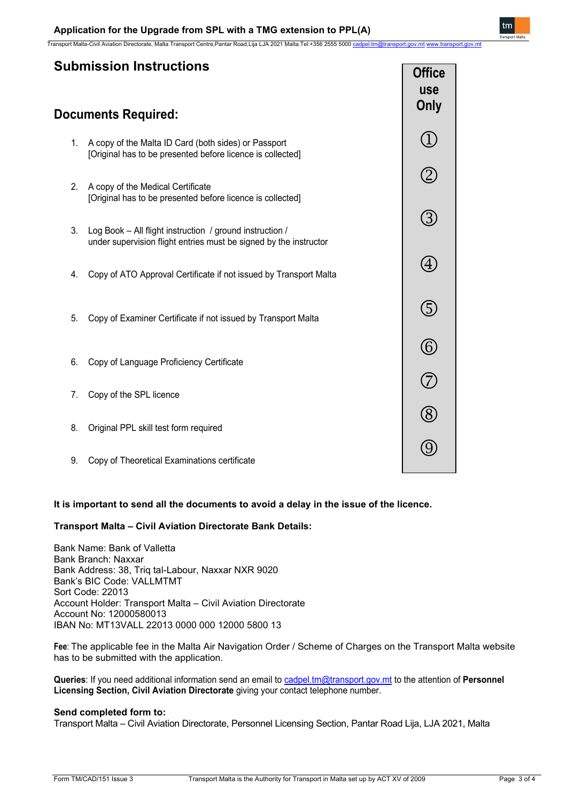# **Documents Required:**

- 1. A copy of the Malta ID Card (both sides) or Passport [Original has to be presented before licence is collected]
- 2. A copy of the Medical Certificate [Original has to be presented before licence is collected]
- 3. Log Book All flight instruction / ground instruction / under supervision flight entries must be signed by the instructor
- 4. Copy of ATO Approval Certificate if not issued by Transport Malta
- 5. Copy of Examiner Certificate if not issued by Transport Malta
- 6. Copy of Language Proficiency Certificate
- 7. Copy of the SPL licence
- 8. Original PPL skill test form required
- 9. Copy of Theoretical Examinations certificate

## **It is important to send all the documents to avoid a delay in the issue of the licence.**

## **Transport Malta – Civil Aviation Directorate Bank Details:**

Bank Name: Bank of Valletta Bank Branch: Naxxar Bank Address: 38, Triq tal-Labour, Naxxar NXR 9020 Bank's BIC Code: VALLMTMT Sort Code: 22013 Account Holder: Transport Malta – Civil Aviation Directorate Account No: 12000580013 IBAN No: MT13VALL 22013 0000 000 12000 5800 13

**Fee**: The applicable fee in the Malta Air Navigation Order / Scheme of Charges on the Transport Malta website has to be submitted with the application.

**Queries**: If you need additional information send an email t[o cadpel.tm@transport.gov.mt](mailto:cadpel.tm@transport.gov.mt) to the attention of **Personnel Licensing Section, Civil Aviation Directorate** giving your contact telephone number.

## **Send completed form to:**

Transport Malta – Civil Aviation Directorate, Personnel Licensing Section, Pantar Road Lija, LJA 2021, Malta

**Office use Only**

 $\mathbf{1}$ 

 $(2)$ 

 $(3)$ 

 $(4)$ 

(5)

 $\circled{6}$ 

 $\circled{2}$ 

(8)

**①**